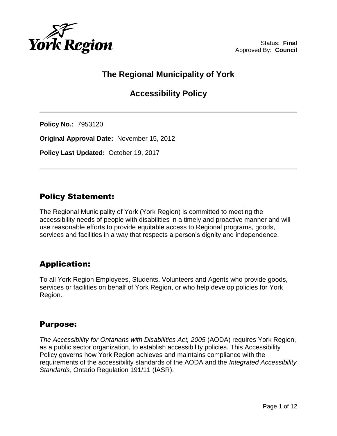

# **The Regional Municipality of York**

# **Accessibility Policy**

**Policy No.:** 7953120

**Original Approval Date:** November 15, 2012

**Policy Last Updated:** October 19, 2017

# Policy Statement:

The Regional Municipality of York (York Region) is committed to meeting the accessibility needs of people with disabilities in a timely and proactive manner and will use reasonable efforts to provide equitable access to Regional programs, goods, services and facilities in a way that respects a person's dignity and independence.

# Application:

To all York Region Employees, Students, Volunteers and Agents who provide goods, services or facilities on behalf of York Region, or who help develop policies for York Region.

# Purpose:

*The Accessibility for Ontarians with Disabilities Act, 2005* (AODA) requires York Region, as a public sector organization, to establish accessibility policies. This Accessibility Policy governs how York Region achieves and maintains compliance with the requirements of the accessibility standards of the AODA and the *Integrated Accessibility Standards*, Ontario Regulation 191/11 (IASR).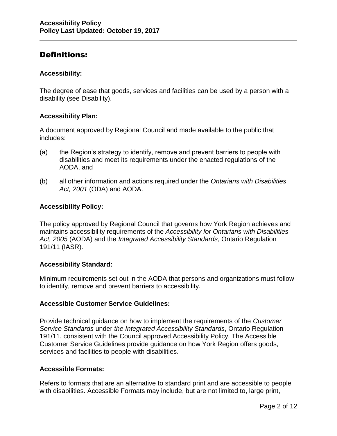# Definitions:

### **Accessibility:**

The degree of ease that goods, services and facilities can be used by a person with a disability (see Disability).

# **Accessibility Plan:**

A document approved by Regional Council and made available to the public that includes:

- (a) the Region's strategy to identify, remove and prevent barriers to people with disabilities and meet its requirements under the enacted regulations of the AODA, and
- (b) all other information and actions required under the *Ontarians with Disabilities Act, 2001* (ODA) and AODA.

### **Accessibility Policy:**

The policy approved by Regional Council that governs how York Region achieves and maintains accessibility requirements of the *Accessibility for Ontarians with Disabilities Act, 2005* (AODA) and the *Integrated Accessibility Standards*, Ontario Regulation 191/11 (IASR).

#### **Accessibility Standard:**

Minimum requirements set out in the AODA that persons and organizations must follow to identify, remove and prevent barriers to accessibility.

# **Accessible Customer Service Guidelines:**

Provide technical guidance on how to implement the requirements of the *Customer Service Standards* under *the Integrated Accessibility Standards*, Ontario Regulation 191/11, consistent with the Council approved Accessibility Policy. The Accessible Customer Service Guidelines provide guidance on how York Region offers goods, services and facilities to people with disabilities.

#### **Accessible Formats:**

Refers to formats that are an alternative to standard print and are accessible to people with disabilities. Accessible Formats may include, but are not limited to, large print,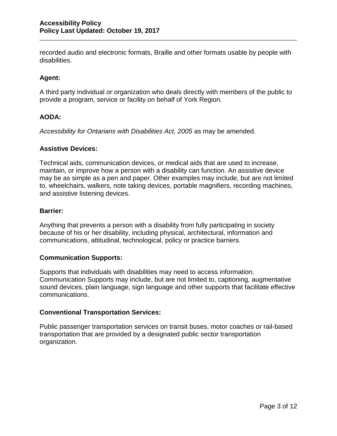recorded audio and electronic formats, Braille and other formats usable by people with disabilities.

# **Agent:**

A third party individual or organization who deals directly with members of the public to provide a program, service or facility on behalf of York Region.

# **AODA:**

*Accessibility for Ontarians with Disabilities Act, 2005* as may be amended.

#### **Assistive Devices:**

Technical aids, communication devices, or medical aids that are used to increase, maintain, or improve how a person with a disability can function. An assistive device may be as simple as a pen and paper. Other examples may include, but are not limited to, wheelchairs, walkers, note taking devices, portable magnifiers, recording machines, and assistive listening devices.

#### **Barrier:**

Anything that prevents a person with a disability from fully participating in society because of his or her disability, including physical, architectural, information and communications, attitudinal, technological, policy or practice barriers.

#### **Communication Supports:**

Supports that individuals with disabilities may need to access information. Communication Supports may include, but are not limited to, captioning, augmentative sound devices, plain language, sign language and other supports that facilitate effective communications.

# **Conventional Transportation Services:**

Public passenger transportation services on transit buses, motor coaches or rail-based transportation that are provided by a designated public sector transportation organization.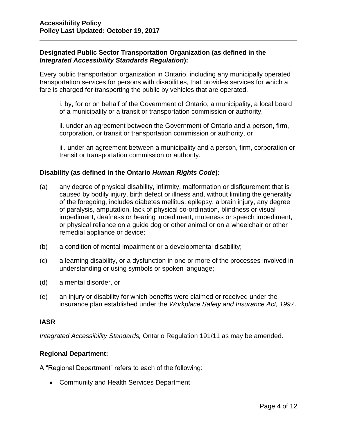# **Designated Public Sector Transportation Organization (as defined in the**  *Integrated Accessibility Standards Regulation***):**

Every public transportation organization in Ontario, including any municipally operated transportation services for persons with disabilities, that provides services for which a fare is charged for transporting the public by vehicles that are operated,

i. by, for or on behalf of the Government of Ontario, a municipality, a local board of a municipality or a transit or transportation commission or authority,

ii. under an agreement between the Government of Ontario and a person, firm, corporation, or transit or transportation commission or authority, or

iii. under an agreement between a municipality and a person, firm, corporation or transit or transportation commission or authority.

### **Disability (as defined in the Ontario** *Human Rights Code***):**

- (a) any degree of physical disability, infirmity, malformation or disfigurement that is caused by bodily injury, birth defect or illness and, without limiting the generality of the foregoing, includes diabetes mellitus, epilepsy, a brain injury, any degree of paralysis, amputation, lack of physical co-ordination, blindness or visual impediment, deafness or hearing impediment, muteness or speech impediment, or physical reliance on a guide dog or other animal or on a wheelchair or other remedial appliance or device;
- (b) a condition of mental impairment or a developmental disability;
- (c) a learning disability, or a dysfunction in one or more of the processes involved in understanding or using symbols or spoken language;
- (d) a mental disorder, or
- (e) an injury or disability for which benefits were claimed or received under the insurance plan established under the *Workplace Safety and Insurance Act, 1997*.

#### **IASR**

*Integrated Accessibility Standards,* Ontario Regulation 191/11 as may be amended.

#### **Regional Department:**

A "Regional Department" refers to each of the following:

Community and Health Services Department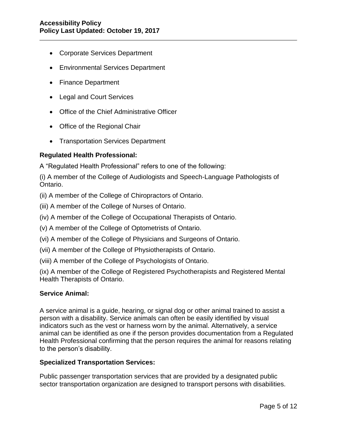- Corporate Services Department
- Environmental Services Department
- Finance Department
- Legal and Court Services
- Office of the Chief Administrative Officer
- Office of the Regional Chair
- Transportation Services Department

### **Regulated Health Professional:**

A "Regulated Health Professional" refers to one of the following:

(i) A member of the College of Audiologists and Speech-Language Pathologists of Ontario.

(ii) A member of the College of Chiropractors of Ontario.

(iii) A member of the College of Nurses of Ontario.

- (iv) A member of the College of Occupational Therapists of Ontario.
- (v) A member of the College of Optometrists of Ontario.
- (vi) A member of the College of Physicians and Surgeons of Ontario.
- (vii) A member of the College of Physiotherapists of Ontario.
- (viii) A member of the College of Psychologists of Ontario.

(ix) A member of the College of Registered Psychotherapists and Registered Mental Health Therapists of Ontario.

#### **Service Animal:**

A service animal is a guide, hearing, or signal dog or other animal trained to assist a person with a disability. Service animals can often be easily identified by visual indicators such as the vest or harness worn by the animal. Alternatively, a service animal can be identified as one if the person provides documentation from a Regulated Health Professional confirming that the person requires the animal for reasons relating to the person's disability.

#### **Specialized Transportation Services:**

Public passenger transportation services that are provided by a designated public sector transportation organization are designed to transport persons with disabilities.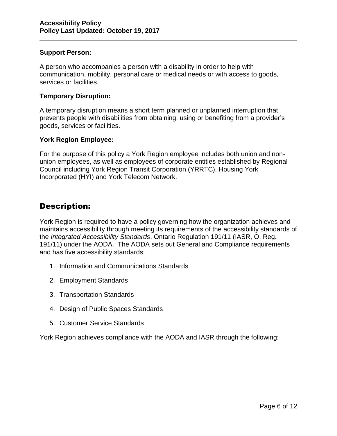#### **Support Person:**

A person who accompanies a person with a disability in order to help with communication, mobility, personal care or medical needs or with access to goods, services or facilities.

### **Temporary Disruption:**

A temporary disruption means a short term planned or unplanned interruption that prevents people with disabilities from obtaining, using or benefiting from a provider's goods, services or facilities.

### **York Region Employee:**

For the purpose of this policy a York Region employee includes both union and nonunion employees, as well as employees of corporate entities established by Regional Council including York Region Transit Corporation (YRRTC), Housing York Incorporated (HYI) and York Telecom Network.

# Description:

York Region is required to have a policy governing how the organization achieves and maintains accessibility through meeting its requirements of the accessibility standards of the *Integrated Accessibility Standards*, Ontario Regulation 191/11 (IASR, O. Reg. 191/11) under the AODA. The AODA sets out General and Compliance requirements and has five accessibility standards:

- 1. Information and Communications Standards
- 2. Employment Standards
- 3. Transportation Standards
- 4. Design of Public Spaces Standards
- 5. Customer Service Standards

York Region achieves compliance with the AODA and IASR through the following: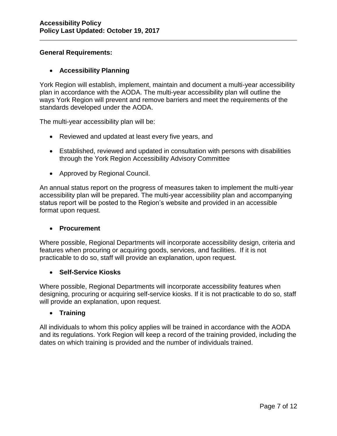# **General Requirements:**

# **Accessibility Planning**

York Region will establish, implement, maintain and document a multi-year accessibility plan in accordance with the AODA. The multi-year accessibility plan will outline the ways York Region will prevent and remove barriers and meet the requirements of the standards developed under the AODA.

The multi-year accessibility plan will be:

- Reviewed and updated at least every five years, and
- Established, reviewed and updated in consultation with persons with disabilities through the York Region Accessibility Advisory Committee
- Approved by Regional Council.

An annual status report on the progress of measures taken to implement the multi-year accessibility plan will be prepared. The multi-year accessibility plan and accompanying status report will be posted to the Region's website and provided in an accessible format upon request.

# **Procurement**

Where possible, Regional Departments will incorporate accessibility design, criteria and features when procuring or acquiring goods, services, and facilities. If it is not practicable to do so, staff will provide an explanation, upon request.

# **Self-Service Kiosks**

Where possible, Regional Departments will incorporate accessibility features when designing, procuring or acquiring self-service kiosks. If it is not practicable to do so, staff will provide an explanation, upon request.

# **Training**

All individuals to whom this policy applies will be trained in accordance with the AODA and its regulations. York Region will keep a record of the training provided, including the dates on which training is provided and the number of individuals trained.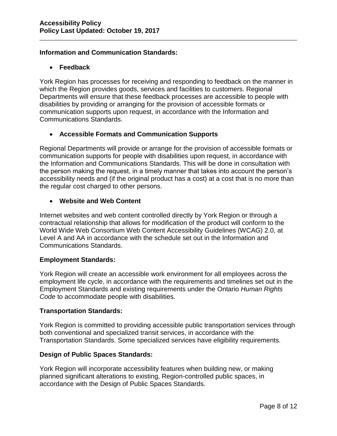# **Information and Communication Standards:**

# **Feedback**

York Region has processes for receiving and responding to feedback on the manner in which the Region provides goods, services and facilities to customers. Regional Departments will ensure that these feedback processes are accessible to people with disabilities by providing or arranging for the provision of accessible formats or communication supports upon request, in accordance with the Information and Communications Standards.

# **Accessible Formats and Communication Supports**

Regional Departments will provide or arrange for the provision of accessible formats or communication supports for people with disabilities upon request, in accordance with the Information and Communications Standards. This will be done in consultation with the person making the request, in a timely manner that takes into account the person's accessibility needs and (if the original product has a cost) at a cost that is no more than the regular cost charged to other persons.

# **Website and Web Content**

Internet websites and web content controlled directly by York Region or through a contractual relationship that allows for modification of the product will conform to the World Wide Web Consortium Web Content Accessibility Guidelines (WCAG) 2.0, at Level A and AA in accordance with the schedule set out in the Information and Communications Standards.

# **Employment Standards:**

York Region will create an accessible work environment for all employees across the employment life cycle, in accordance with the requirements and timelines set out in the Employment Standards and existing requirements under the Ontario *Human Rights Code* to accommodate people with disabilities.

# **Transportation Standards:**

York Region is committed to providing accessible public transportation services through both conventional and specialized transit services, in accordance with the Transportation Standards. Some specialized services have eligibility requirements.

# **Design of Public Spaces Standards:**

York Region will incorporate accessibility features when building new, or making planned significant alterations to existing, Region-controlled public spaces, in accordance with the Design of Public Spaces Standards.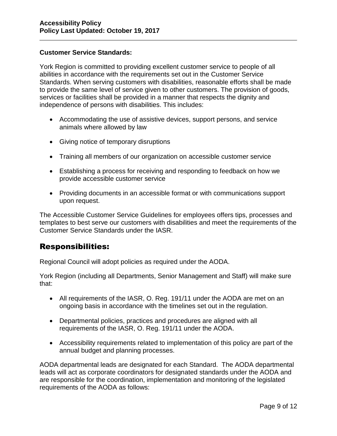### **Customer Service Standards:**

York Region is committed to providing excellent customer service to people of all abilities in accordance with the requirements set out in the Customer Service Standards. When serving customers with disabilities, reasonable efforts shall be made to provide the same level of service given to other customers. The provision of goods, services or facilities shall be provided in a manner that respects the dignity and independence of persons with disabilities. This includes:

- Accommodating the use of assistive devices, support persons, and service animals where allowed by law
- Giving notice of temporary disruptions
- Training all members of our organization on accessible customer service
- Establishing a process for receiving and responding to feedback on how we provide accessible customer service
- Providing documents in an accessible format or with communications support upon request.

The Accessible Customer Service Guidelines for employees offers tips, processes and templates to best serve our customers with disabilities and meet the requirements of the Customer Service Standards under the IASR.

# Responsibilities:

Regional Council will adopt policies as required under the AODA.

York Region (including all Departments, Senior Management and Staff) will make sure that:

- All requirements of the IASR, O. Reg. 191/11 under the AODA are met on an ongoing basis in accordance with the timelines set out in the regulation.
- Departmental policies, practices and procedures are aligned with all requirements of the IASR, O. Reg. 191/11 under the AODA.
- Accessibility requirements related to implementation of this policy are part of the annual budget and planning processes.

AODA departmental leads are designated for each Standard. The AODA departmental leads will act as corporate coordinators for designated standards under the AODA and are responsible for the coordination, implementation and monitoring of the legislated requirements of the AODA as follows: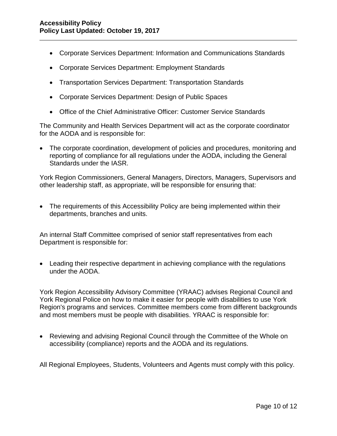- Corporate Services Department: Information and Communications Standards
- Corporate Services Department: Employment Standards
- Transportation Services Department: Transportation Standards
- Corporate Services Department: Design of Public Spaces
- Office of the Chief Administrative Officer: Customer Service Standards

The Community and Health Services Department will act as the corporate coordinator for the AODA and is responsible for:

 The corporate coordination, development of policies and procedures, monitoring and reporting of compliance for all regulations under the AODA, including the General Standards under the IASR.

York Region Commissioners, General Managers, Directors, Managers, Supervisors and other leadership staff, as appropriate, will be responsible for ensuring that:

• The requirements of this Accessibility Policy are being implemented within their departments, branches and units.

An internal Staff Committee comprised of senior staff representatives from each Department is responsible for:

 Leading their respective department in achieving compliance with the regulations under the AODA.

York Region Accessibility Advisory Committee (YRAAC) advises Regional Council and York Regional Police on how to make it easier for people with disabilities to use York Region's programs and services. Committee members come from different backgrounds and most members must be people with disabilities. YRAAC is responsible for:

 Reviewing and advising Regional Council through the Committee of the Whole on accessibility (compliance) reports and the AODA and its regulations.

All Regional Employees, Students, Volunteers and Agents must comply with this policy.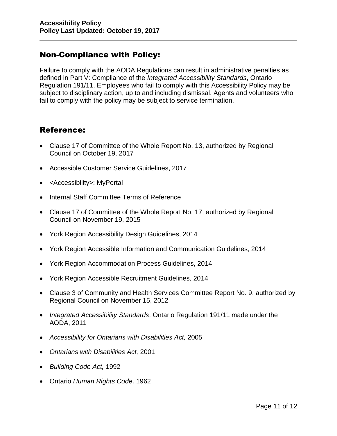# Non-Compliance with Policy:

Failure to comply with the AODA Regulations can result in administrative penalties as defined in Part V: Compliance of the *Integrated Accessibility Standards*, Ontario Regulation 191/11. Employees who fail to comply with this Accessibility Policy may be subject to disciplinary action, up to and including dismissal. Agents and volunteers who fail to comply with the policy may be subject to service termination.

# Reference:

- Clause 17 of Committee of the Whole Report No. 13, authorized by Regional Council on October 19, 2017
- Accessible Customer Service Guidelines, 2017
- <Accessibility>: MyPortal
- Internal Staff Committee Terms of Reference
- Clause 17 of Committee of the Whole Report No. 17, authorized by Regional Council on November 19, 2015
- York Region Accessibility Design Guidelines, 2014
- York Region Accessible Information and Communication Guidelines, 2014
- York Region Accommodation Process Guidelines, 2014
- York Region Accessible Recruitment Guidelines, 2014
- Clause 3 of Community and Health Services Committee Report No. 9, authorized by Regional Council on November 15, 2012
- *Integrated Accessibility Standards*, Ontario Regulation 191/11 made under the AODA, 2011
- *Accessibility for Ontarians with Disabilities Act,* 2005
- *Ontarians with Disabilities Act,* 2001
- *Building Code Act,* 1992
- Ontario *Human Rights Code,* 1962